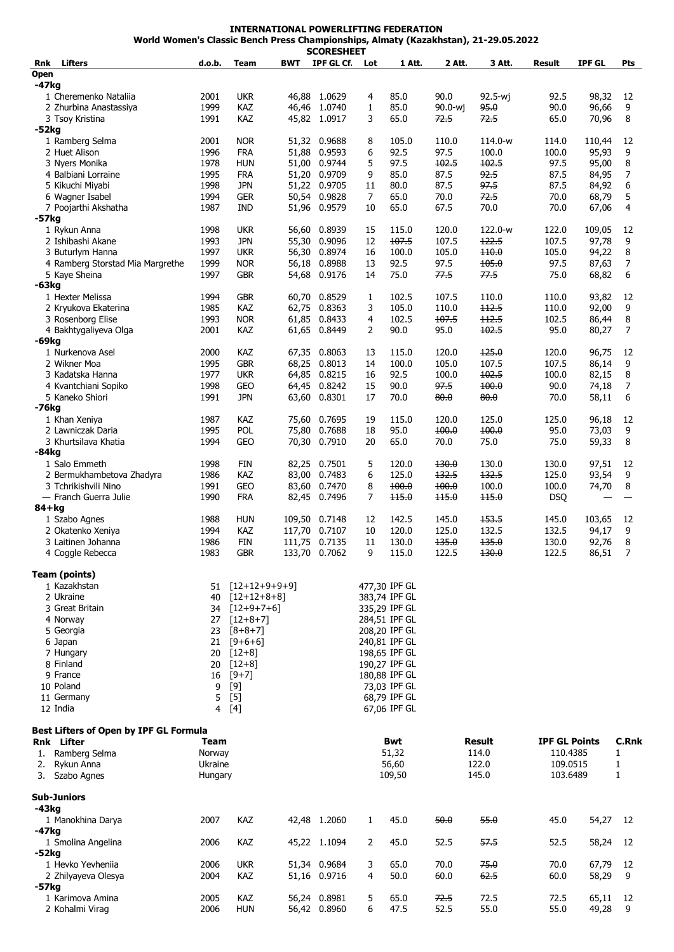**INTERNATIONAL POWERLIFTING FEDERATION World Women's Classic Bench Press Championships, Almaty (Kazakhstan), 21-29.05.2022**

|             |                                        |         |                  |            | SCORESHEET    |                |               |         |         |                      |               |                |
|-------------|----------------------------------------|---------|------------------|------------|---------------|----------------|---------------|---------|---------|----------------------|---------------|----------------|
| Rnk         | <b>Lifters</b>                         | d.o.b.  | <b>Team</b>      | <b>BWT</b> | IPF GL Cf.    | Lot            | 1 Att.        | 2 Att.  | 3 Att.  | Result               | <b>IPF GL</b> | Pts            |
| <b>Open</b> |                                        |         |                  |            |               |                |               |         |         |                      |               |                |
| -47kg       |                                        |         |                  |            |               |                |               |         |         |                      |               |                |
|             | 1 Cheremenko Nataliia                  | 2001    | <b>UKR</b>       |            | 46,88 1.0629  | 4              | 85.0          | 90.0    | 92.5-wj | 92.5                 | 98,32         | 12             |
|             | 2 Zhurbina Anastassiya                 | 1999    | KAZ              |            | 46,46 1.0740  | $\mathbf{1}$   | 85.0          | 90.0-wj | 95.0    | 90.0                 | 96,66         | 9              |
|             | 3 Tsoy Kristina                        | 1991    | KAZ              |            | 45,82 1.0917  | 3              | 65.0          | 72.5    | 72.5    | 65.0                 | 70,96         | 8              |
| -52kg       |                                        |         |                  |            |               |                |               |         |         |                      |               |                |
|             | 1 Ramberg Selma                        | 2001    | <b>NOR</b>       |            | 51,32 0.9688  | 8              | 105.0         | 110.0   | 114.0-w | 114.0                | 110,44        | 12             |
|             | 2 Huet Alison                          | 1996    | <b>FRA</b>       | 51,88      | 0.9593        | 6              | 92.5          | 97.5    | 100.0   | 100.0                | 95,93         | 9              |
|             | 3 Nyers Monika                         | 1978    | <b>HUN</b>       |            | 51,00 0.9744  | 5              | 97.5          | 102.5   | 102.5   | 97.5                 | 95,00         | 8              |
|             | 4 Balbiani Lorraine                    | 1995    | Fra              |            | 51,20 0.9709  | 9              | 85.0          | 87.5    | 92.5    | 87.5                 | 84,95         | 7              |
|             | 5 Kikuchi Miyabi                       | 1998    | <b>JPN</b>       |            | 51,22 0.9705  | 11             | 80.0          | 87.5    | 97.5    | 87.5                 | 84,92         | 6              |
|             | 6 Wagner Isabel                        | 1994    | <b>GER</b>       | 50,54      | 0.9828        | 7              | 65.0          | 70.0    | 72.5    | 70.0                 | 68,79         | 5              |
|             | 7 Poojarthi Akshatha                   | 1987    | <b>IND</b>       |            | 51,96 0.9579  | 10             | 65.0          | 67.5    | 70.0    | 70.0                 | 67,06         | $\overline{4}$ |
| -57kg       |                                        |         |                  |            |               |                |               |         |         |                      |               |                |
|             | 1 Rykun Anna                           | 1998    | <b>UKR</b>       | 56,60      | 0.8939        | 15             | 115.0         | 120.0   | 122.0-w | 122.0                | 109,05        | 12             |
|             | 2 Ishibashi Akane                      | 1993    | <b>JPN</b>       | 55,30      | 0.9096        | 12             | 107.5         | 107.5   | 122.5   | 107.5                | 97,78         | 9              |
|             | 3 Buturlym Hanna                       | 1997    | <b>UKR</b>       | 56,30      | 0.8974        | 16             | 100.0         | 105.0   | $+10.0$ | 105.0                | 94,22         | 8              |
|             | 4 Ramberg Storstad Mia Margrethe       | 1999    | <b>NOR</b>       | 56,18      | 0.8988        | 13             | 92.5          | 97.5    | 105.0   | 97.5                 | 87,63         | 7              |
|             | 5 Kaye Sheina                          | 1997    | <b>GBR</b>       |            | 54,68 0.9176  | 14             | 75.0          | 77.5    | 77.5    | 75.0                 | 68,82         | 6              |
| -63kg       |                                        |         |                  |            |               |                |               |         |         |                      |               |                |
|             | 1 Hexter Melissa                       | 1994    | <b>GBR</b>       | 60,70      | 0.8529        | 1              | 102.5         | 107.5   | 110.0   | 110.0                | 93,82         | 12             |
|             | 2 Kryukova Ekaterina                   | 1985    | KAZ              | 62,75      | 0.8363        | 3              | 105.0         | 110.0   | 112.5   | 110.0                | 92,00         | 9              |
|             | 3 Rosenborg Elise                      | 1993    | <b>NOR</b>       | 61,85      | 0.8433        | 4              | 102.5         | 107.5   | 112.5   | 102.5                | 86,44         | 8              |
|             | 4 Bakhtygaliyeva Olga                  | 2001    | KAZ              | 61,65      | 0.8449        | $\overline{2}$ | 90.0          | 95.0    | 102.5   | 95.0                 | 80,27         | 7              |
| -69kg       |                                        |         |                  |            |               |                |               |         |         |                      |               |                |
|             | 1 Nurkenova Asel                       | 2000    | KAZ              | 67,35      | 0.8063        | 13             | 115.0         | 120.0   | 125.0   | 120.0                | 96,75         | 12             |
|             | 2 Wikner Moa                           |         | <b>GBR</b>       |            |               |                |               |         | 107.5   |                      |               | 9              |
|             |                                        | 1995    |                  | 68,25      | 0.8013        | 14             | 100.0         | 105.0   |         | 107.5                | 86,14         |                |
|             | 3 Kadatska Hanna                       | 1977    | <b>UKR</b>       | 64,85      | 0.8215        | 16             | 92.5          | 100.0   | 102.5   | 100.0                | 82,15         | 8              |
|             | 4 Kvantchiani Sopiko                   | 1998    | GEO              |            | 64,45 0.8242  | 15             | 90.0          | 97.5    | 100.0   | 90.0                 | 74,18         | 7              |
|             | 5 Kaneko Shiori                        | 1991    | <b>JPN</b>       |            | 63,60 0.8301  | 17             | 70.0          | 80.0    | 80.0    | 70.0                 | 58,11         | 6              |
| -76kg       |                                        |         |                  |            |               |                |               |         |         |                      |               |                |
|             | 1 Khan Xeniya                          | 1987    | KAZ              | 75,60      | 0.7695        | 19             | 115.0         | 120.0   | 125.0   | 125.0                | 96,18         | 12             |
|             | 2 Lawniczak Daria                      | 1995    | POL              | 75,80      | 0.7688        | 18             | 95.0          | 100.0   | 100.0   | 95.0                 | 73,03         | 9              |
|             | 3 Khurtsilava Khatia                   | 1994    | GEO              | 70,30      | 0.7910        | 20             | 65.0          | 70.0    | 75.0    | 75.0                 | 59,33         | 8              |
| -84kg       |                                        |         |                  |            |               |                |               |         |         |                      |               |                |
|             | 1 Salo Emmeth                          | 1998    | FIN              |            | 82,25 0.7501  | 5              | 120.0         | 130.0   | 130.0   | 130.0                | 97,51         | 12             |
|             | 2 Bermukhambetova Zhadyra              | 1986    | KAZ              | 83,00      | 0.7483        | 6              | 125.0         | 132.5   | 132.5   | 125.0                | 93,54         | 9              |
|             | 3 Tchrikishvili Nino                   | 1991    | GEO              | 83,60      | 0.7470        | 8              | 100.0         | 100.0   | 100.0   | 100.0                | 74,70         | 8              |
|             | — Franch Guerra Julie                  | 1990    | <b>FRA</b>       |            | 82,45 0.7496  | 7              | 115.0         | 115.0   | 115.0   | <b>DSQ</b>           |               |                |
| $84 + kg$   |                                        |         |                  |            |               |                |               |         |         |                      |               |                |
|             | 1 Szabo Agnes                          | 1988    | <b>HUN</b>       |            | 109,50 0.7148 | 12             | 142.5         | 145.0   | 153.5   | 145.0                | 103,65        | 12             |
|             | 2 Okatenko Xeniya                      | 1994    | KAZ              | 117,70     | 0.7107        | 10             | 120.0         | 125.0   | 132.5   | 132.5                | 94,17         | 9              |
|             | 3 Laitinen Johanna                     | 1986    | <b>FIN</b>       |            | 111,75 0.7135 | 11             | 130.0         | 135.0   | 135.0   | 130.0                | 92,76         | 8              |
|             | 4 Coggle Rebecca                       | 1983    | <b>GBR</b>       | 133,70     | 0.7062        | 9              | 115.0         | 122.5   | 130.0   | 122.5                | 86,51         | 7              |
|             |                                        |         |                  |            |               |                |               |         |         |                      |               |                |
|             | Team (points)                          |         |                  |            |               |                |               |         |         |                      |               |                |
|             | 1 Kazakhstan                           |         | 51 [12+12+9+9+9] |            |               |                | 477,30 IPF GL |         |         |                      |               |                |
|             | 2 Ukraine                              | 40      | $[12+12+8+8]$    |            |               |                | 383,74 IPF GL |         |         |                      |               |                |
|             | 3 Great Britain                        |         | 34 [12+9+7+6]    |            |               |                | 335,29 IPF GL |         |         |                      |               |                |
|             | 4 Norway                               |         | $[12+8+7]$       |            |               |                | 284,51 IPF GL |         |         |                      |               |                |
|             |                                        | 27      | $[8+8+7]$        |            |               |                |               |         |         |                      |               |                |
|             | 5 Georgia                              | 23      |                  |            |               |                | 208,20 IPF GL |         |         |                      |               |                |
|             | 6 Japan                                | 21      | $[9+6+6]$        |            |               |                | 240,81 IPF GL |         |         |                      |               |                |
|             | 7 Hungary                              | 20      | $[12+8]$         |            |               |                | 198,65 IPF GL |         |         |                      |               |                |
|             | 8 Finland                              | 20      | $[12+8]$         |            |               |                | 190,27 IPF GL |         |         |                      |               |                |
|             | 9 France                               | 16      | $[9+7]$          |            |               |                | 180,88 IPF GL |         |         |                      |               |                |
|             | 10 Poland                              | 9       | $[9]$            |            |               |                | 73,03 IPF GL  |         |         |                      |               |                |
|             | 11 Germany                             | 5       | $[5]$            |            |               |                | 68,79 IPF GL  |         |         |                      |               |                |
|             | 12 India                               | 4       | [4]              |            |               |                | 67,06 IPF GL  |         |         |                      |               |                |
|             |                                        |         |                  |            |               |                |               |         |         |                      |               |                |
|             | Best Lifters of Open by IPF GL Formula |         |                  |            |               |                |               |         |         |                      |               |                |
|             | Rnk Lifter                             | Team    |                  |            |               |                | Bwt           |         | Result  | <b>IPF GL Points</b> |               | C.Rnk          |
|             | 1. Ramberg Selma                       | Norway  |                  |            |               |                | 51,32         |         | 114.0   | 110.4385             |               | 1              |
|             | 2. Rykun Anna                          | Ukraine |                  |            |               |                | 56,60         |         | 122.0   | 109.0515             |               | 1              |
|             | 3. Szabo Agnes                         | Hungary |                  |            |               |                | 109,50        |         | 145.0   | 103.6489             |               | 1              |
|             |                                        |         |                  |            |               |                |               |         |         |                      |               |                |
|             | <b>Sub-Juniors</b>                     |         |                  |            |               |                |               |         |         |                      |               |                |
| -43kg       |                                        |         |                  |            |               |                |               |         |         |                      |               |                |
|             | 1 Manokhina Darya                      | 2007    | KAZ              |            | 42,48 1.2060  | 1              | 45.0          | 50.0    | 55.0    | 45.0                 | 54,27         | 12             |
| -47kg       |                                        |         |                  |            |               |                |               |         |         |                      |               |                |
|             | 1 Smolina Angelina                     | 2006    | KAZ              |            | 45,22 1.1094  | 2              | 45.0          | 52.5    | 57.5    | 52.5                 | 58,24         | 12             |
| $-52kg$     |                                        |         |                  |            |               |                |               |         |         |                      |               |                |
|             | 1 Hevko Yevheniia                      | 2006    | <b>UKR</b>       |            | 51,34 0.9684  | 3              | 65.0          | 70.0    | 75.0    | 70.0                 | 67,79         | 12             |
|             | 2 Zhilyayeva Olesya                    | 2004    | KAZ              |            | 51,16 0.9716  | 4              | 50.0          | 60.0    | 62.5    | 60.0                 | 58,29         | 9              |
| -57kg       |                                        |         |                  |            |               |                |               |         |         |                      |               |                |
|             | 1 Karimova Amina                       | 2005    | KAZ              |            | 56,24 0.8981  | 5              | 65.0          | 72.5    | 72.5    | 72.5                 | 65,11         | 12             |
|             | 2 Kohalmi Virag                        | 2006    | <b>HUN</b>       |            | 56,42 0.8960  | 6              | 47.5          | 52.5    | 55.0    | 55.0                 | 49,28         | 9              |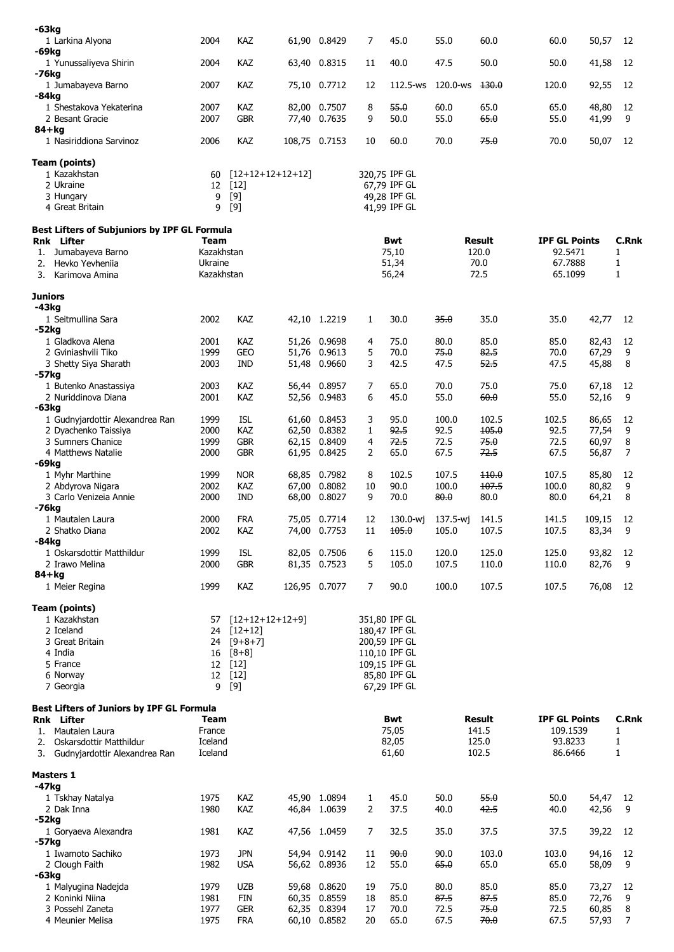| -63kg                                                   |                       |                              |       |                              |                |                               |              |               |                      |                |              |
|---------------------------------------------------------|-----------------------|------------------------------|-------|------------------------------|----------------|-------------------------------|--------------|---------------|----------------------|----------------|--------------|
| 1 Larkina Alyona                                        | 2004                  | KAZ                          |       | 61,90 0.8429                 | 7              | 45.0                          | 55.0         | 60.0          | 60.0                 | 50,57          | 12           |
| -69kg                                                   |                       |                              |       |                              |                |                               |              |               |                      |                |              |
| 1 Yunussaliyeva Shirin<br>-76kg                         | 2004                  | KAZ                          |       | 63,40 0.8315                 | 11             | 40.0                          | 47.5         | 50.0          | 50.0                 | 41,58          | 12           |
| 1 Jumabayeva Barno                                      | 2007                  | KAZ                          |       | 75,10 0.7712                 | 12             | 112.5-ws                      | 120.0-ws     | 130.0         | 120.0                | 92,55          | 12           |
| -84kg                                                   |                       |                              |       |                              |                |                               |              |               |                      |                |              |
| 1 Shestakova Yekaterina                                 | 2007                  | KAZ                          |       | 82,00 0.7507                 | 8              | 55.0                          | 60.0         | 65.0          | 65.0                 | 48,80          | 12           |
| 2 Besant Gracie                                         | 2007                  | <b>GBR</b>                   |       | 77,40 0.7635                 | 9              | 50.0                          | 55.0         | 65.0          | 55.0                 | 41,99          | 9            |
| 84+kg<br>1 Nasiriddiona Sarvinoz                        | 2006                  | KAZ                          |       | 108,75 0.7153                | 10             | 60.0                          | 70.0         | 75.0          | 70.0                 | 50,07          | 12           |
|                                                         |                       |                              |       |                              |                |                               |              |               |                      |                |              |
| Team (points)<br>1 Kazakhstan                           |                       |                              |       |                              |                |                               |              |               |                      |                |              |
| 2 Ukraine                                               | 60<br>12              | $[12+12+12+12+12]$<br>$[12]$ |       |                              |                | 320,75 IPF GL<br>67,79 IPF GL |              |               |                      |                |              |
| 3 Hungary                                               | 9                     | $[9]$                        |       |                              |                | 49,28 IPF GL                  |              |               |                      |                |              |
| 4 Great Britain                                         | 9                     | $[9]$                        |       |                              |                | 41,99 IPF GL                  |              |               |                      |                |              |
| Best Lifters of Subjuniors by IPF GL Formula            |                       |                              |       |                              |                |                               |              |               |                      |                |              |
| Rnk Lifter                                              | Team                  |                              |       |                              |                | Bwt                           |              | Result        | <b>IPF GL Points</b> |                | C.Rnk        |
| 1. Jumabayeva Barno                                     | Kazakhstan            |                              |       |                              | 75,10          |                               |              | 120.0         | 92.5471              |                | 1            |
| Hevko Yevheniia<br>2.                                   | Ukraine<br>Kazakhstan |                              |       |                              |                | 51,34                         | 70.0         |               | 67.7888              |                | $\mathbf{1}$ |
| 3.<br>Karimova Amina                                    |                       |                              |       |                              | 56,24          |                               | 72.5         |               | 65.1099              |                | 1            |
| <b>Juniors</b>                                          |                       |                              |       |                              |                |                               |              |               |                      |                |              |
| $-43kg$                                                 |                       |                              |       |                              |                |                               |              |               |                      |                |              |
| 1 Seitmullina Sara<br>-52kg                             | 2002                  | KAZ                          |       | 42,10 1.2219                 | $\mathbf{1}$   | 30.0                          | 35.0         | 35.0          | 35.0                 | 42,77          | 12           |
| 1 Gladkova Alena                                        | 2001                  | <b>KAZ</b>                   | 51,26 | 0.9698                       | 4              | 75.0                          | 80.0         | 85.0          | 85.0                 | 82,43          | 12           |
| 2 Gviniashvili Tiko                                     | 1999                  | GEO                          | 51,76 | 0.9613                       | 5              | 70.0                          | 75.0         | 82.5          | 70.0                 | 67,29          | 9            |
| 3 Shetty Siya Sharath                                   | 2003                  | <b>IND</b>                   | 51,48 | 0.9660                       | 3              | 42.5                          | 47.5         | 52.5          | 47.5                 | 45,88          | 8            |
| $-57kg$                                                 |                       | <b>KAZ</b>                   |       |                              |                |                               |              | 75.0          |                      |                |              |
| 1 Butenko Anastassiya<br>2 Nuriddinova Diana            | 2003<br>2001          | KAZ                          |       | 56,44 0.8957<br>52,56 0.9483 | 7<br>6         | 65.0<br>45.0                  | 70.0<br>55.0 | 60.0          | 75.0<br>55.0         | 67,18<br>52,16 | 12<br>9      |
| -63kg                                                   |                       |                              |       |                              |                |                               |              |               |                      |                |              |
| 1 Gudnyjardottir Alexandrea Ran                         | 1999                  | <b>ISL</b>                   |       | 61,60 0.8453                 | 3              | 95.0                          | 100.0        | 102.5         | 102.5                | 86,65          | 12           |
| 2 Dyachenko Taissiya                                    | 2000                  | KAZ                          | 62,50 | 0.8382                       | $\mathbf{1}$   | 92.5                          | 92.5         | 105.0         | 92.5                 | 77,54          | 9            |
| 3 Sumners Chanice                                       | 1999                  | <b>GBR</b>                   |       | 62,15 0.8409                 | 4              | 72.5                          | 72.5         | 75.0          | 72.5                 | 60,97          | 8            |
| 4 Matthews Natalie                                      | 2000                  | <b>GBR</b>                   |       | 61,95 0.8425                 | $\overline{2}$ | 65.0                          | 67.5         | 72.5          | 67.5                 | 56,87          | 7            |
| -69kg<br>1 Myhr Marthine                                | 1999                  | <b>NOR</b>                   |       | 68,85 0.7982                 | 8              | 102.5                         | 107.5        | $+10.0$       | 107.5                | 85,80          | 12           |
| 2 Abdyrova Nigara                                       | 2002                  | KAZ                          | 67,00 | 0.8082                       | 10             | 90.0                          | 100.0        | 107.5         | 100.0                | 80,82          | 9            |
| 3 Carlo Venizeia Annie                                  | 2000                  | <b>IND</b>                   |       | 68,00 0.8027                 | 9              | 70.0                          | 80.0         | 80.0          | 80.0                 | 64,21          | 8            |
| -76kg                                                   |                       |                              |       |                              |                |                               |              |               |                      |                |              |
| 1 Mautalen Laura                                        | 2000                  | <b>FRA</b>                   |       | 75,05 0.7714                 | 12             | 130.0-wj                      | 137.5-wj     | 141.5         | 141.5                | 109,15         | 12           |
| 2 Shatko Diana<br>$-84kg$                               | 2002                  | KAZ                          |       | 74,00 0.7753                 | 11             | 105.0                         | 105.0        | 107.5         | 107.5                | 83,34          | 9            |
| 1 Oskarsdottir Matthildur                               | 1999                  | <b>ISL</b>                   |       | 82,05 0.7506                 | 6              | 115.0                         | 120.0        | 125.0         | 125.0                | 93,82          | 12           |
| 2 Irawo Melina                                          | 2000                  | <b>GBR</b>                   |       | 81,35 0.7523                 | 5              | 105.0                         | 107.5        | 110.0         | 110.0                | 82,76          | 9            |
| $84 + kg$                                               |                       |                              |       |                              |                |                               |              |               |                      |                |              |
| 1 Meier Regina                                          | 1999                  | KAZ                          |       | 126,95 0.7077                | $\overline{7}$ | 90.0                          | 100.0        | 107.5         | 107.5                | 76,08          | 12           |
| <b>Team (points)</b>                                    |                       |                              |       |                              |                |                               |              |               |                      |                |              |
| 1 Kazakhstan                                            | 57                    | $[12+12+12+12+9]$            |       |                              |                | 351,80 IPF GL                 |              |               |                      |                |              |
| 2 Iceland                                               | 24                    | $[12+12]$                    |       |                              |                | 180,47 IPF GL                 |              |               |                      |                |              |
| 3 Great Britain                                         | 24                    | $[9+8+7]$                    |       |                              |                | 200,59 IPF GL                 |              |               |                      |                |              |
| 4 India                                                 |                       | $16 [8+8]$                   |       |                              |                | 110,10 IPF GL                 |              |               |                      |                |              |
| 5 France<br>6 Norway                                    | 12 <sup>2</sup>       | $[12]$<br>12 [12]            |       |                              |                | 109,15 IPF GL<br>85,80 IPF GL |              |               |                      |                |              |
| 7 Georgia                                               | 9                     | $[9]$                        |       |                              |                | 67,29 IPF GL                  |              |               |                      |                |              |
|                                                         |                       |                              |       |                              |                |                               |              |               |                      |                |              |
| Best Lifters of Juniors by IPF GL Formula<br>Rnk Lifter | Team                  |                              |       |                              |                | Bwt                           |              | Result        | <b>IPF GL Points</b> |                | C.Rnk        |
| Mautalen Laura<br>1.                                    | France                |                              |       |                              |                | 75,05                         |              | 141.5         | 109.1539             |                | 1            |
| 2.<br>Oskarsdottir Matthildur                           | Iceland               |                              |       |                              |                | 82,05                         |              | 125.0         | 93.8233              |                | 1            |
| 3. Gudnyjardottir Alexandrea Ran                        | Iceland               |                              |       |                              |                | 61,60                         |              | 102.5         | 86.6466              |                | 1            |
| <b>Masters 1</b>                                        |                       |                              |       |                              |                |                               |              |               |                      |                |              |
| -47kg                                                   |                       |                              |       |                              |                |                               |              |               |                      |                |              |
| 1 Tskhay Natalya                                        | 1975                  | KAZ                          |       | 45,90 1.0894                 | $\mathbf{1}$   | 45.0                          | 50.0         | 55.0          | 50.0                 | 54,47          | 12           |
| 2 Dak Inna                                              | 1980                  | KAZ                          |       | 46,84 1.0639                 | $\overline{2}$ | 37.5                          | 40.0         | 42.5          | 40.0                 | 42,56          | 9            |
| -52kg                                                   |                       |                              |       |                              |                |                               |              |               |                      |                |              |
| 1 Goryaeva Alexandra                                    | 1981                  | KAZ                          |       | 47,56 1.0459                 | 7              | 32.5                          | 35.0         | 37.5          | 37.5                 | 39,22          | 12           |
| -57kg                                                   |                       |                              |       |                              |                |                               |              |               |                      |                |              |
| 1 Iwamoto Sachiko<br>2 Clough Faith                     | 1973<br>1982          | <b>JPN</b><br><b>USA</b>     |       | 54,94 0.9142<br>56,62 0.8936 | 11<br>12       | 90.0<br>55.0                  | 90.0<br>65.0 | 103.0<br>65.0 | 103.0<br>65.0        | 94,16<br>58,09 | 12<br>9      |
| $-63kg$                                                 |                       |                              |       |                              |                |                               |              |               |                      |                |              |
| 1 Malyugina Nadejda                                     | 1979                  | <b>UZB</b>                   |       | 59,68 0.8620                 | 19             | 75.0                          | 80.0         | 85.0          | 85.0                 | 73,27          | 12           |
| 2 Koninki Niina                                         | 1981                  | FIN                          |       | 60,35 0.8559                 | 18             | 85.0                          | 87.5         | 87.5          | 85.0                 | 72,76          | 9            |
| 3 Possehl Zaneta                                        | 1977                  | <b>GER</b>                   |       | 62,35 0.8394                 | 17             | 70.0                          | 72.5         | 75.0          | 72.5                 | 60,85          | 8            |
| 4 Meunier Melisa                                        | 1975                  | <b>FRA</b>                   |       | 60,10 0.8582                 | 20             | 65.0                          | 67.5         | 70.0          | 67.5                 | 57,93          | 7            |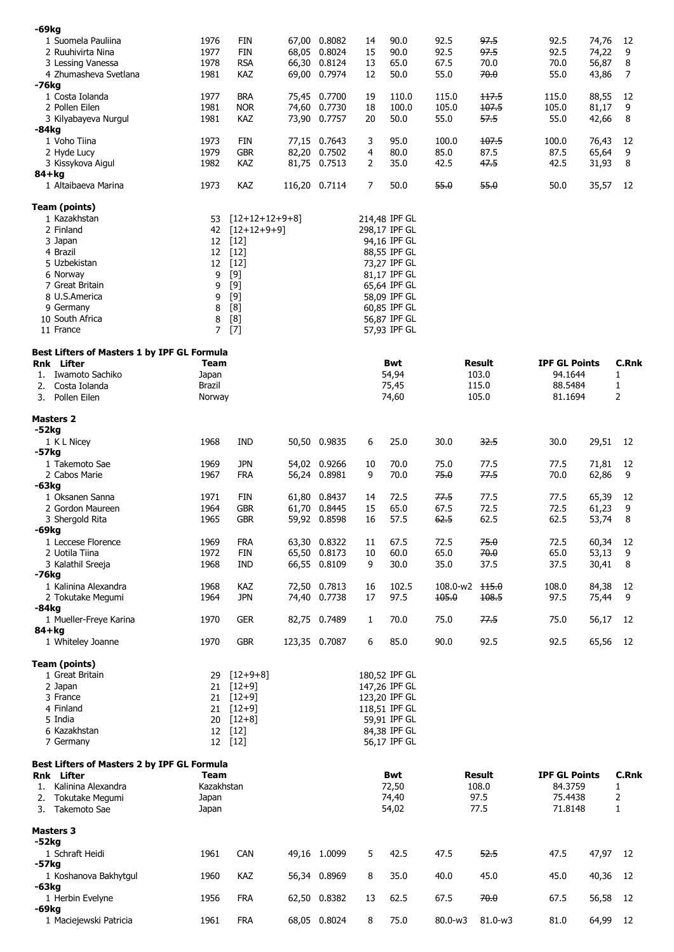| -69kg     |                                             |              |                          |       |                              |              |                              |              |              |                      |                |              |  |
|-----------|---------------------------------------------|--------------|--------------------------|-------|------------------------------|--------------|------------------------------|--------------|--------------|----------------------|----------------|--------------|--|
|           | 1 Suomela Pauliina                          | 1976         | <b>FIN</b>               |       | 67,00 0.8082                 | 14           | 90.0                         | 92.5         | 97.5         | 92.5                 | 74,76          | 12           |  |
|           | 2 Ruuhivirta Nina<br>3 Lessing Vanessa      | 1977<br>1978 | <b>FIN</b><br><b>RSA</b> |       | 68,05 0.8024<br>66,30 0.8124 | 15<br>13     | 90.0<br>65.0                 | 92.5<br>67.5 | 97.5<br>70.0 | 92.5<br>70.0         | 74,22<br>56,87 | 9<br>8       |  |
|           | 4 Zhumasheva Svetlana                       | 1981         | KAZ                      |       | 69,00 0.7974                 | 12           | 50.0                         | 55.0         | 70.0         | 55.0                 | 43,86          | 7            |  |
| -76kg     |                                             |              |                          |       |                              |              |                              |              |              |                      |                |              |  |
|           | 1 Costa Iolanda                             | 1977         | <b>BRA</b>               |       | 75,45 0.7700                 | 19           | 110.0                        | 115.0        | 117.5        | 115.0                | 88,55          | 12           |  |
|           | 2 Pollen Eilen                              | 1981         | <b>NOR</b>               |       | 74,60 0.7730                 | 18           | 100.0                        | 105.0        | 107.5        | 105.0                | 81,17          | 9            |  |
| -84kg     | 3 Kilyabayeva Nurgul                        | 1981         | KAZ                      |       | 73,90 0.7757                 | 20           | 50.0                         | 55.0         | 57.5         | 55.0                 | 42,66          | 8            |  |
|           | 1 Voho Tiina                                | 1973         | FIN                      |       | 77,15 0.7643                 | 3            | 95.0                         | 100.0        | 107.5        | 100.0                | 76,43          | 12           |  |
|           | 2 Hyde Lucy                                 | 1979         | <b>GBR</b>               | 82,20 | 0.7502                       | 4            | 80.0                         | 85.0         | 87.5         | 87.5                 | 65,64          | 9            |  |
|           | 3 Kissykova Aigul                           | 1982         | KAZ                      |       | 81,75 0.7513                 | 2            | 35.0                         | 42.5         | 47.5         | 42.5                 | 31,93          | 8            |  |
| 84+kg     |                                             |              |                          |       |                              |              |                              |              |              |                      |                |              |  |
|           | 1 Altaibaeva Marina                         | 1973         | KAZ                      |       | 116,20 0.7114                | 7            | 50.0                         | 55.0         | 55.0         | 50.0                 | 35,57          | 12           |  |
|           | Team (points)                               |              |                          |       |                              |              |                              |              |              |                      |                |              |  |
|           | 1 Kazakhstan                                | 53           | $[12+12+12+9+8]$         |       |                              |              | 214,48 IPF GL                |              |              |                      |                |              |  |
|           | 2 Finland                                   | 42           | $[12+12+9+9]$            |       |                              |              | 298,17 IPF GL                |              |              |                      |                |              |  |
|           | 3 Japan                                     | 12           | $[12]$                   |       |                              |              | 94,16 IPF GL                 |              |              |                      |                |              |  |
|           | 4 Brazil                                    | 12           | $[12]$                   |       |                              |              | 88,55 IPF GL                 |              |              |                      |                |              |  |
|           | 5 Uzbekistan                                | 12           | $[12]$                   |       |                              |              | 73,27 IPF GL                 |              |              |                      |                |              |  |
|           | 6 Norway<br>7 Great Britain                 | 9            | $[9]$                    |       |                              |              | 81,17 IPF GL<br>65,64 IPF GL |              |              |                      |                |              |  |
|           | 8 U.S.America                               | 9<br>9       | $[9]$<br>$[9]$           |       |                              |              | 58,09 IPF GL                 |              |              |                      |                |              |  |
|           | 9 Germany                                   | 8            | [8]                      |       |                              |              | 60,85 IPF GL                 |              |              |                      |                |              |  |
|           | 10 South Africa                             | 8            | [8]                      |       |                              |              | 56.87 IPF GL                 |              |              |                      |                |              |  |
|           | 11 France                                   | 7            | $[7]$                    |       |                              |              | 57,93 IPF GL                 |              |              |                      |                |              |  |
|           |                                             |              |                          |       |                              |              |                              |              |              |                      |                |              |  |
|           | Best Lifters of Masters 1 by IPF GL Formula | Team         |                          |       |                              |              | Bwt                          |              | Result       | <b>IPF GL Points</b> |                | <b>C.Rnk</b> |  |
| 1.        | <b>Rnk</b> Lifter<br>Iwamoto Sachiko        | Japan        |                          |       |                              |              | 54,94                        |              | 103.0        | 94.1644              |                | 1            |  |
| 2.        | Costa Iolanda                               | Brazil       |                          |       |                              |              | 75,45                        |              | 115.0        | 88.5484              |                | 1            |  |
| 3.        | Pollen Eilen                                | Norway       |                          |       |                              |              | 74,60                        | 105.0        |              | 81.1694              |                | 2            |  |
|           |                                             |              |                          |       |                              |              |                              |              |              |                      |                |              |  |
| -52kg     | <b>Masters 2</b>                            |              |                          |       |                              |              |                              |              |              |                      |                |              |  |
|           | 1 K L Nicey                                 | 1968         | IND                      |       | 50,50 0.9835                 | 6            | 25.0                         | 30.0         | 32.5         | 30.0                 | 29,51          | 12           |  |
| -57kg     |                                             |              |                          |       |                              |              |                              |              |              |                      |                |              |  |
|           | 1 Takemoto Sae                              | 1969         | JPN                      |       | 54,02 0.9266                 | 10           | 70.0                         | 75.0         | 77.5         | 77.5                 | 71,81          | 12           |  |
|           | 2 Cabos Marie                               | 1967         | <b>FRA</b>               |       | 56,24 0.8981                 | 9            | 70.0                         | 75.0         | 77.5         | 70.0                 | 62,86          | 9            |  |
| -63kg     |                                             |              |                          |       | 61,80 0.8437                 |              |                              |              |              |                      |                |              |  |
|           | 1 Oksanen Sanna<br>2 Gordon Maureen         | 1971<br>1964 | FIN<br><b>GBR</b>        |       | 61,70 0.8445                 | 14<br>15     | 72.5<br>65.0                 | 77.5<br>67.5 | 77.5<br>72.5 | 77.5<br>72.5         | 65,39<br>61,23 | 12<br>9      |  |
|           | 3 Shergold Rita                             | 1965         | <b>GBR</b>               |       | 59,92 0.8598                 | 16           | 57.5                         | 62.5         | 62.5         | 62.5                 | 53,74          | 8            |  |
| -69kg     |                                             |              |                          |       |                              |              |                              |              |              |                      |                |              |  |
|           | 1 Leccese Florence                          | 1969         | <b>FRA</b>               |       | 63,30 0.8322                 | 11           | 67.5                         | 72.5         | 75.0         | 72.5                 | 60,34          | 12           |  |
|           | 2 Uotila Tiina                              | 1972         | <b>FIN</b>               |       | 65,50 0.8173                 | 10           | 60.0                         | 65.0         | 70.0         | 65.0                 | 53,13          | 9            |  |
|           | 3 Kalathil Sreeja                           | 1968         | IND                      |       | 66,55 0.8109                 | 9            | 30.0                         | 35.0         | 37.5         | 37.5                 | 30,41          | 8            |  |
| -76kg     |                                             |              |                          |       |                              |              |                              |              |              |                      |                |              |  |
|           | 1 Kalinina Alexandra                        | 1968         | KAZ<br><b>JPN</b>        |       | 72,50 0.7813                 | 16<br>17     | 102.5                        | 108.0-w2     | 115.0        | 108.0                | 84,38          | 12<br>9      |  |
| $-84kg$   | 2 Tokutake Megumi                           | 1964         |                          |       | 74,40 0.7738                 |              | 97.5                         | 105.0        | 108.5        | 97.5                 | 75,44          |              |  |
|           | 1 Mueller-Freye Karina                      | 1970         | <b>GER</b>               |       | 82,75 0.7489                 | $\mathbf{1}$ | 70.0                         | 75.0         | 77.5         | 75.0                 | 56,17          | 12           |  |
| $84 + kg$ |                                             |              |                          |       |                              |              |                              |              |              |                      |                |              |  |
|           | 1 Whiteley Joanne                           | 1970         | <b>GBR</b>               |       | 123,35 0.7087                | 6            | 85.0                         | 90.0         | 92.5         | 92.5                 | 65,56          | 12           |  |
|           | Team (points)                               |              |                          |       |                              |              |                              |              |              |                      |                |              |  |
|           | 1 Great Britain                             | 29           | $[12+9+8]$               |       |                              |              | 180,52 IPF GL                |              |              |                      |                |              |  |
|           | 2 Japan                                     | 21           | $[12+9]$                 |       |                              |              | 147,26 IPF GL                |              |              |                      |                |              |  |
|           | 3 France                                    |              | $21 [12+9]$              |       |                              |              | 123,20 IPF GL                |              |              |                      |                |              |  |
|           | 4 Finland                                   |              | $21 [12+9]$              |       |                              |              | 118,51 IPF GL                |              |              |                      |                |              |  |
|           | 5 India                                     |              | 20 [12+8]                |       |                              |              | 59,91 IPF GL                 |              |              |                      |                |              |  |
|           | 6 Kazakhstan                                |              | 12 [12]                  |       |                              |              | 84,38 IPF GL                 |              |              |                      |                |              |  |
|           | 7 Germany                                   |              | 12 [12]                  |       |                              |              | 56,17 IPF GL                 |              |              |                      |                |              |  |
|           | Best Lifters of Masters 2 by IPF GL Formula |              |                          |       |                              |              |                              |              |              |                      |                |              |  |
|           | Rnk Lifter                                  | Team         |                          |       |                              |              | Bwt                          |              | Result       | <b>IPF GL Points</b> |                | <b>C.Rnk</b> |  |
|           | 1. Kalinina Alexandra                       | Kazakhstan   |                          |       |                              |              | 72,50                        |              | 108.0        | 84.3759              |                | 1            |  |
|           | 2. Tokutake Megumi                          | Japan        |                          |       |                              |              | 74,40                        |              | 97.5         | 75.4438              |                | 2            |  |
|           | 3. Takemoto Sae                             | Japan        |                          |       |                              |              | 54,02                        |              | 77.5         | 71.8148              |                | 1            |  |
|           | <b>Masters 3</b>                            |              |                          |       |                              |              |                              |              |              |                      |                |              |  |
| $-52kg$   |                                             |              |                          |       |                              |              |                              |              |              |                      |                |              |  |
|           | 1 Schraft Heidi                             | 1961         | CAN                      |       | 49,16 1.0099                 | 5            | 42.5                         | 47.5         | 52.5         | 47.5                 | 47,97          | 12           |  |
| $-57kg$   |                                             |              |                          |       |                              |              |                              |              |              |                      |                |              |  |
| -63kg     | 1 Koshanova Bakhytgul                       | 1960         | KAZ                      |       | 56,34 0.8969                 | 8            | 35.0                         | 40.0         | 45.0         | 45.0                 | 40,36          | 12           |  |
|           | 1 Herbin Evelyne                            | 1956         | <b>FRA</b>               |       | 62,50 0.8382                 | 13           | 62.5                         | 67.5         | 70.0         | 67.5                 | 56,58          | 12           |  |
| $-69kg$   |                                             |              |                          |       |                              |              |                              |              |              |                      |                |              |  |
|           | 1 Maciejewski Patricia                      | 1961         | <b>FRA</b>               |       | 68,05 0.8024                 | 8            | 75.0                         | 80.0-w3      | 81.0-w3      | 81.0                 | 64,99 12       |              |  |